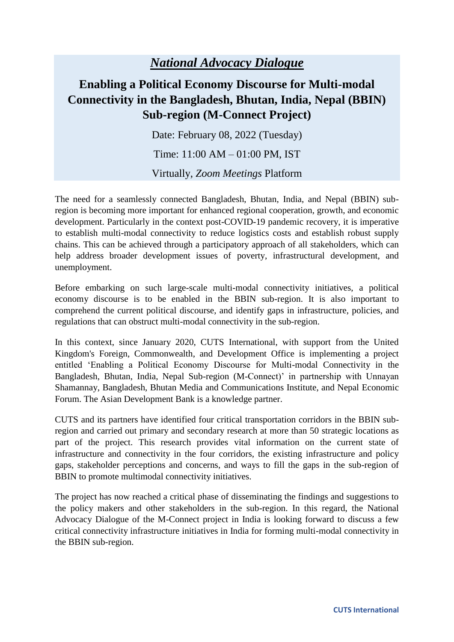## *National Advocacy Dialogue*

## **Enabling a Political Economy Discourse for Multi-modal Connectivity in the Bangladesh, Bhutan, India, Nepal (BBIN) Sub-region (M-Connect Project)**

Date: February 08, 2022 (Tuesday)

Time: 11:00 AM – 01:00 PM, IST

Virtually, *Zoom Meetings* Platform

The need for a seamlessly connected Bangladesh, Bhutan, India, and Nepal (BBIN) subregion is becoming more important for enhanced regional cooperation, growth, and economic development. Particularly in the context post-COVID-19 pandemic recovery, it is imperative to establish multi-modal connectivity to reduce logistics costs and establish robust supply chains. This can be achieved through a participatory approach of all stakeholders, which can help address broader development issues of poverty, infrastructural development, and unemployment.

Before embarking on such large-scale multi-modal connectivity initiatives, a political economy discourse is to be enabled in the BBIN sub-region. It is also important to comprehend the current political discourse, and identify gaps in infrastructure, policies, and regulations that can obstruct multi-modal connectivity in the sub-region.

In this context, since January 2020, CUTS International, with support from the United Kingdom's Foreign, Commonwealth, and Development Office is implementing a project entitled 'Enabling a Political Economy Discourse for Multi-modal Connectivity in the Bangladesh, Bhutan, India, Nepal Sub-region (M-Connect)' in partnership with Unnayan Shamannay, Bangladesh, Bhutan Media and Communications Institute, and Nepal Economic Forum. The Asian Development Bank is a knowledge partner.

CUTS and its partners have identified four critical transportation corridors in the BBIN subregion and carried out primary and secondary research at more than 50 strategic locations as part of the project. This research provides vital information on the current state of infrastructure and connectivity in the four corridors, the existing infrastructure and policy gaps, stakeholder perceptions and concerns, and ways to fill the gaps in the sub-region of BBIN to promote multimodal connectivity initiatives.

The project has now reached a critical phase of disseminating the findings and suggestions to the policy makers and other stakeholders in the sub-region. In this regard, the National Advocacy Dialogue of the M-Connect project in India is looking forward to discuss a few critical connectivity infrastructure initiatives in India for forming multi-modal connectivity in the BBIN sub-region.